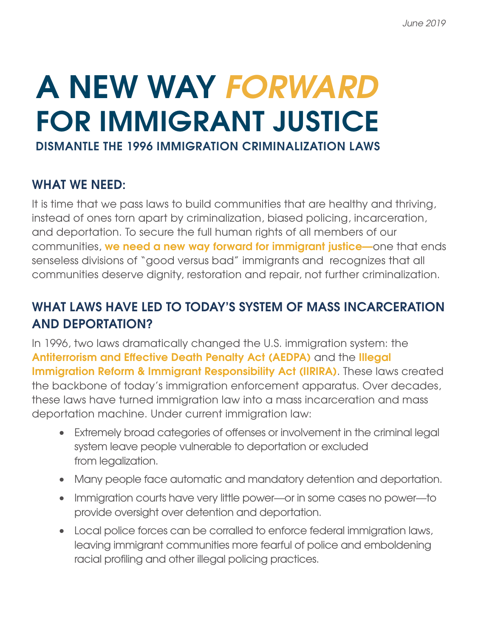## **DISMANTLE THE 1996 IMMIGRATION CRIMINALIZATION LAWS A NEW WAY** *FORWARD* **FOR IMMIGRANT JUSTICE**

## **WHAT WE NEED:**

It is time that we pass laws to build communities that are healthy and thriving, instead of ones torn apart by criminalization, biased policing, incarceration, and deportation. To secure the full human rights of all members of our communities, **we need a new way forward for immigrant justice—**one that ends senseless divisions of "good versus bad" immigrants and recognizes that all communities deserve dignity, restoration and repair, not further criminalization.

## **WHAT LAWS HAVE LED TO TODAY'S SYSTEM OF MASS INCARCERATION AND DEPORTATION?**

In 1996, two laws dramatically changed the U.S. immigration system: the **Antiterrorism and Effective Death Penalty Act (AEDPA)** and the **Illegal Immigration Reform & Immigrant Responsibility Act (IIRIRA)**. These laws created the backbone of today's immigration enforcement apparatus. Over decades, these laws have turned immigration law into a mass incarceration and mass deportation machine. Under current immigration law:

- Extremely broad categories of offenses or involvement in the criminal legal system leave people vulnerable to deportation or excluded from legalization.
- Many people face automatic and mandatory detention and deportation.
- Immigration courts have very little power—or in some cases no power—to provide oversight over detention and deportation.
- Local police forces can be corralled to enforce federal immigration laws, leaving immigrant communities more fearful of police and emboldening racial profiling and other illegal policing practices.